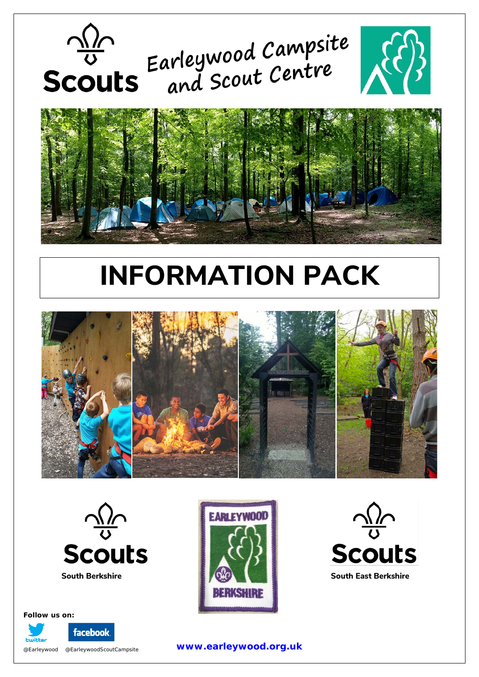



## **INFORMATION PACK**





## **Scouts**





#### **Follow us on:**

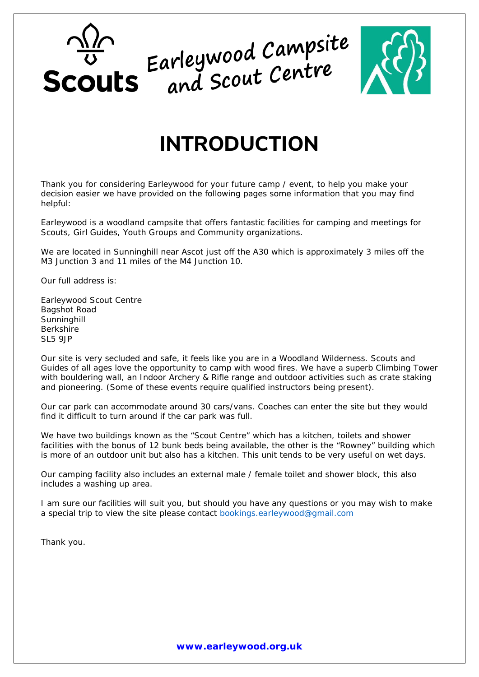## Scouts Earleywood Campsite<br>Scouts and Scout Centre



## **INTRODUCTION**

Thank you for considering Earleywood for your future camp / event, to help you make your decision easier we have provided on the following pages some information that you may find helpful:

Earleywood is a woodland campsite that offers fantastic facilities for camping and meetings for Scouts, Girl Guides, Youth Groups and Community organizations.

We are located in Sunninghill near Ascot just off the A30 which is approximately 3 miles off the M3 Junction 3 and 11 miles of the M4 Junction 10.

Our full address is:

Earleywood Scout Centre Bagshot Road **Sunninghill** Berkshire SL5 9JP

Our site is very secluded and safe, it feels like you are in a Woodland Wilderness. Scouts and Guides of all ages love the opportunity to camp with wood fires. We have a superb Climbing Tower with bouldering wall, an Indoor Archery & Rifle range and outdoor activities such as crate staking and pioneering. (Some of these events require qualified instructors being present).

Our car park can accommodate around 30 cars/vans. Coaches can enter the site but they would find it difficult to turn around if the car park was full.

We have two buildings known as the "Scout Centre" which has a kitchen, toilets and shower facilities with the bonus of 12 bunk beds being available, the other is the "Rowney" building which is more of an outdoor unit but also has a kitchen. This unit tends to be very useful on wet days.

Our camping facility also includes an external male / female toilet and shower block, this also includes a washing up area.

I am sure our facilities will suit you, but should you have any questions or you may wish to make

a special trip to view the site please contact **bookings** earleywood@gmail.com

Thank you.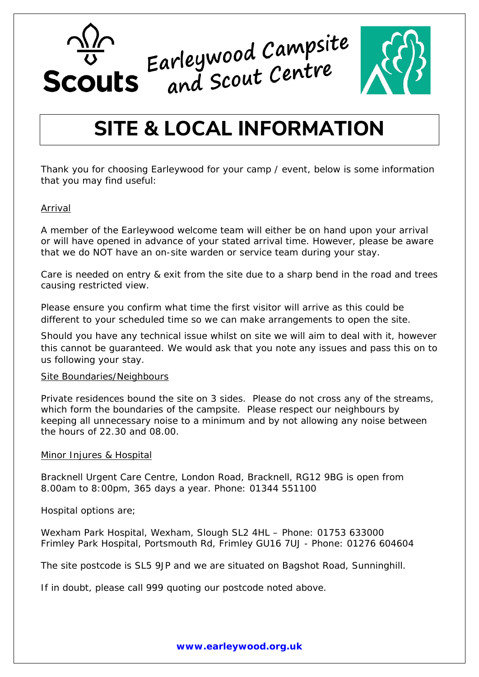



## **SITE & LOCAL INFORMATION**

Thank you for choosing Earleywood for your camp / event, below is some information that you may find useful:

#### Arrival

A member of the Earleywood welcome team will either be on hand upon your arrival or will have opened in advance of your stated arrival time. However, please be aware that we do NOT have an on-site warden or service team during your stay.

Care is needed on entry & exit from the site due to a sharp bend in the road and trees causing restricted view.

Please ensure you confirm what time the first visitor will arrive as this could be different to your scheduled time so we can make arrangements to open the site.

Should you have any technical issue whilst on site we will aim to deal with it, however this cannot be guaranteed. We would ask that you note any issues and pass this on to us following your stay.

#### Site Boundaries/Neighbours

Private residences bound the site on 3 sides. Please do not cross any of the streams, which form the boundaries of the campsite. Please respect our neighbours by keeping all unnecessary noise to a minimum and by not allowing any noise between the hours of 22.30 and 08.00.

#### Minor Injures & Hospital

Bracknell Urgent Care Centre, London Road, Bracknell, RG12 9BG is open from 8.00am to 8:00pm, 365 days a year. Phone: 01344 551100

Hospital options are;

Wexham Park Hospital, Wexham, Slough SL2 4HL – Phone: 01753 633000 Frimley Park Hospital, Portsmouth Rd, Frimley GU16 7UJ - Phone: 01276 604604

The site postcode is SL5 9JP and we are situated on Bagshot Road, Sunninghill.

If in doubt, please call 999 quoting our postcode noted above.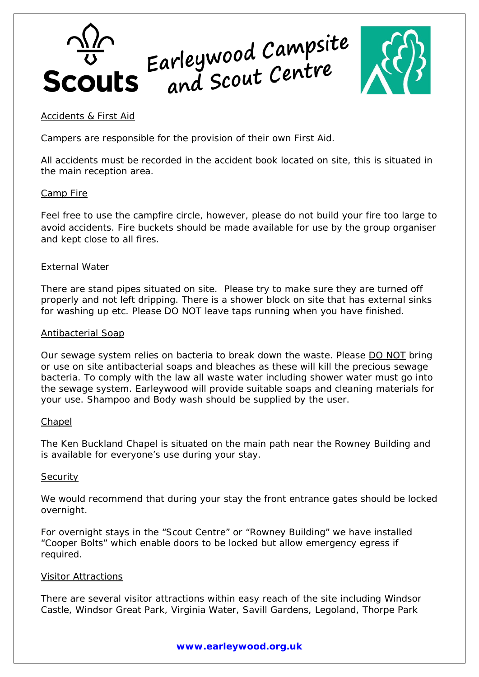



#### Accidents & First Aid

Campers are responsible for the provision of their own First Aid.

All accidents must be recorded in the accident book located on site, this is situated in the main reception area.

#### Camp Fire

Feel free to use the campfire circle, however, please do not build your fire too large to avoid accidents. Fire buckets should be made available for use by the group organiser and kept close to all fires.

#### **External Water**

There are stand pipes situated on site. Please try to make sure they are turned off properly and not left dripping. There is a shower block on site that has external sinks for washing up etc. Please DO NOT leave taps running when you have finished.

#### Antibacterial Soap

Our sewage system relies on bacteria to break down the waste. Please DO NOT bring or use on site antibacterial soaps and bleaches as these will kill the precious sewage bacteria. To comply with the law all waste water including shower water must go into the sewage system. Earleywood will provide suitable soaps and cleaning materials for your use. Shampoo and Body wash should be supplied by the user.

#### **Chapel**

The Ken Buckland Chapel is situated on the main path near the Rowney Building and is available for everyone's use during your stay.

#### **Security**

We would recommend that during your stay the front entrance gates should be locked overnight.

For overnight stays in the "Scout Centre" or "Rowney Building" we have installed "Cooper Bolts" which enable doors to be locked but allow emergency egress if required.

#### Visitor Attractions

There are several visitor attractions within easy reach of the site including Windsor Castle, Windsor Great Park, Virginia Water, Savill Gardens, Legoland, Thorpe Park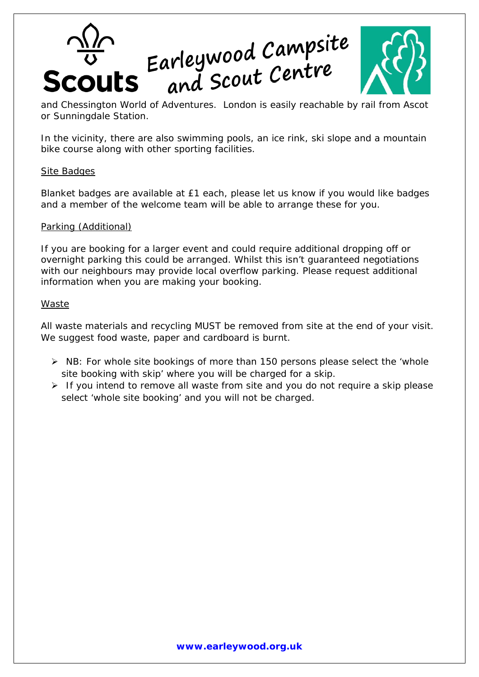# Scouts Earleywood Campsite<br>Scouts and Scout Centre



and Chessington World of Adventures. London is easily reachable by rail from Ascot or Sunningdale Station.

In the vicinity, there are also swimming pools, an ice rink, ski slope and a mountain bike course along with other sporting facilities.

#### Site Badges

Blanket badges are available at £1 each, please let us know if you would like badges and a member of the welcome team will be able to arrange these for you.

All waste materials and recycling MUST be removed from site at the end of your visit. We suggest food waste, paper and cardboard is burnt.

#### Parking (Additional)

- $\triangleright$  NB: For whole site bookings of more than 150 persons please select the 'whole site booking with skip' where you will be charged for a skip.
- $\triangleright$  If you intend to remove all waste from site and you do not require a skip please select 'whole site booking' and you will not be charged.

If you are booking for a larger event and could require additional dropping off or overnight parking this could be arranged. Whilst this isn't guaranteed negotiations with our neighbours may provide local overflow parking. Please request additional information when you are making your booking.

#### **Waste**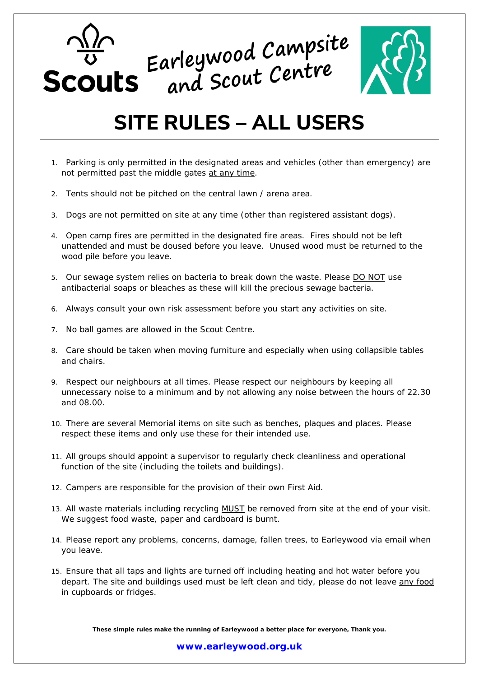



### **SITE RULES – ALL USERS**

- 1. Parking is only permitted in the designated areas and vehicles (other than emergency) are not permitted past the middle gates at any time.
- 2. Tents should not be pitched on the central lawn / arena area.
- 3. Dogs are not permitted on site at any time (other than registered assistant dogs).
- 4. Open camp fires are permitted in the designated fire areas. Fires should not be left unattended and must be doused before you leave. Unused wood must be returned to the wood pile before you leave.
- 5. Our sewage system relies on bacteria to break down the waste. Please DO NOT use antibacterial soaps or bleaches as these will kill the precious sewage bacteria.
- 6. Always consult your own risk assessment before you start any activities on site.
- 7. No ball games are allowed in the Scout Centre.
- 8. Care should be taken when moving furniture and especially when using collapsible tables and chairs.
- 9. Respect our neighbours at all times. Please respect our neighbours by keeping all unnecessary noise to a minimum and by not allowing any noise between the hours of 22.30 and 08.00.
- 10. There are several Memorial items on site such as benches, plaques and places. Please respect these items and only use these for their intended use.
- 11. All groups should appoint a supervisor to regularly check cleanliness and operational function of the site (including the toilets and buildings).
- 12. Campers are responsible for the provision of their own First Aid.
- 13. All waste materials including recycling MUST be removed from site at the end of your visit. We suggest food waste, paper and cardboard is burnt.
- 14. Please report any problems, concerns, damage, fallen trees, to Earleywood via email when you leave.
- 15. Ensure that all taps and lights are turned off including heating and hot water before you depart. The site and buildings used must be left clean and tidy, please do not leave any food in cupboards or fridges.

**These simple rules make the running of Earleywood a better place for everyone, Thank you.**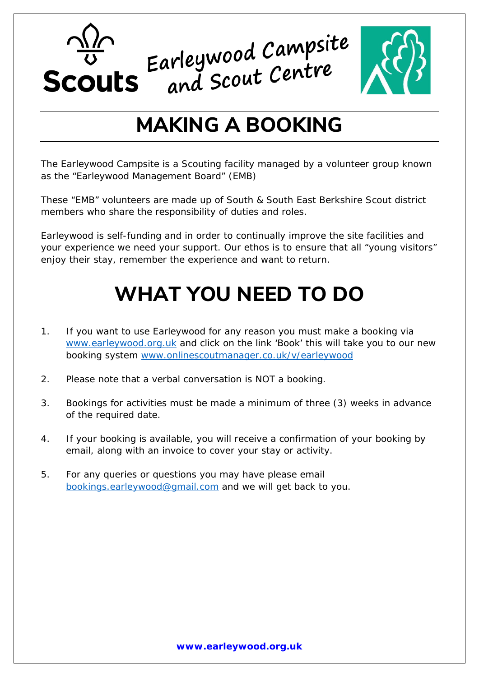



### **MAKING A BOOKING**

The Earleywood Campsite is a Scouting facility managed by a volunteer group known as the "Earleywood Management Board" (EMB)

These "EMB" volunteers are made up of South & South East Berkshire Scout district members who share the responsibility of duties and roles.

Earleywood is self-funding and in order to continually improve the site facilities and your experience we need your support. Our ethos is to ensure that all "young visitors" enjoy their stay, remember the experience and want to return.

## **WHAT YOU NEED TO DO**

- 1. If you want to use Earleywood for any reason you must make a booking via [www.earleywood.org.uk](http://www.earleywood.org.uk/) and click on the link 'Book' this will take you to our new booking system [www.onlinescoutmanager.co.uk/v/earleywood](http://www.onlinescoutmanager.co.uk/v/earleywood)
- 2. Please note that a verbal conversation is NOT a booking.
- 3. Bookings for activities must be made a minimum of three (3) weeks in advance of the required date.
- 4. If your booking is available, you will receive a confirmation of your booking by email, along with an invoice to cover your stay or activity.
- 5. For any queries or questions you may have please email [bookings.earleywood@gmail.com](mailto:bookings.earleywood@gmail.com) and we will get back to you.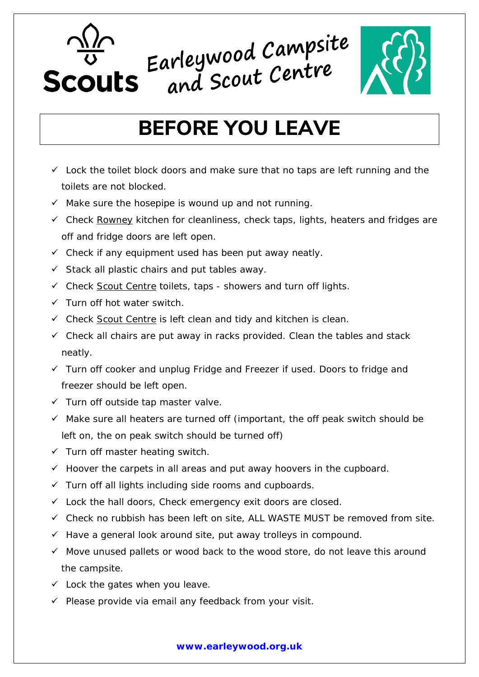



## **BEFORE YOU LEAVE**

- $\checkmark$  Lock the toilet block doors and make sure that no taps are left running and the toilets are not blocked.
- $\checkmark$  Make sure the hosepipe is wound up and not running.
- $\checkmark$  Check Rowney kitchen for cleanliness, check taps, lights, heaters and fridges are off and fridge doors are left open.
- $\checkmark$  Check if any equipment used has been put away neatly.
- $\checkmark$  Stack all plastic chairs and put tables away.
- $\checkmark$  Check Scout Centre toilets, taps showers and turn off lights.
- $\checkmark$  Turn off hot water switch.
- $\checkmark$  Check Scout Centre is left clean and tidy and kitchen is clean.
- $\checkmark$  Check all chairs are put away in racks provided. Clean the tables and stack neatly.
- $\checkmark$  Turn off cooker and unplug Fridge and Freezer if used. Doors to fridge and freezer should be left open.
- $\checkmark$  Turn off outside tap master valve.
- $\checkmark$  Make sure all heaters are turned off (important, the off peak switch should be left on, the on peak switch should be turned off)
- $\checkmark$  Turn off master heating switch.
- $\checkmark$  Hoover the carpets in all areas and put away hoovers in the cupboard.
- $\checkmark$  Turn off all lights including side rooms and cupboards.
- $\checkmark$  Lock the hall doors, Check emergency exit doors are closed.
- $\checkmark$  Check no rubbish has been left on site, ALL WASTE MUST be removed from site.
- $\checkmark$  Have a general look around site, put away trolleys in compound.
- $\checkmark$  Move unused pallets or wood back to the wood store, do not leave this around the campsite.
- $\checkmark$  Lock the gates when you leave.
- $\checkmark$  Please provide via email any feedback from your visit.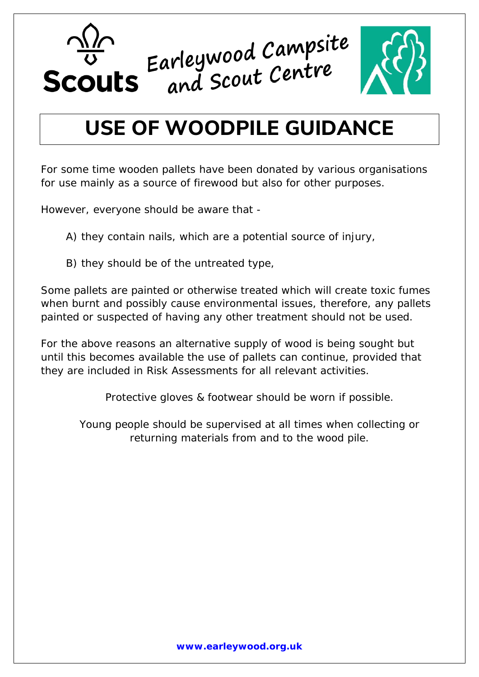

## **USE OF WOODPILE GUIDANCE**

For some time wooden pallets have been donated by various organisations for use mainly as a source of firewood but also for other purposes.

However, everyone should be aware that -

A) they contain nails, which are a potential source of injury,

B) they should be of the untreated type,

Some pallets are painted or otherwise treated which will create toxic fumes when burnt and possibly cause environmental issues, therefore, any pallets painted or suspected of having any other treatment should not be used.

For the above reasons an alternative supply of wood is being sought but until this becomes available the use of pallets can continue, provided that they are included in Risk Assessments for all relevant activities.

Protective gloves & footwear should be worn if possible.

Young people should be supervised at all times when collecting or returning materials from and to the wood pile.